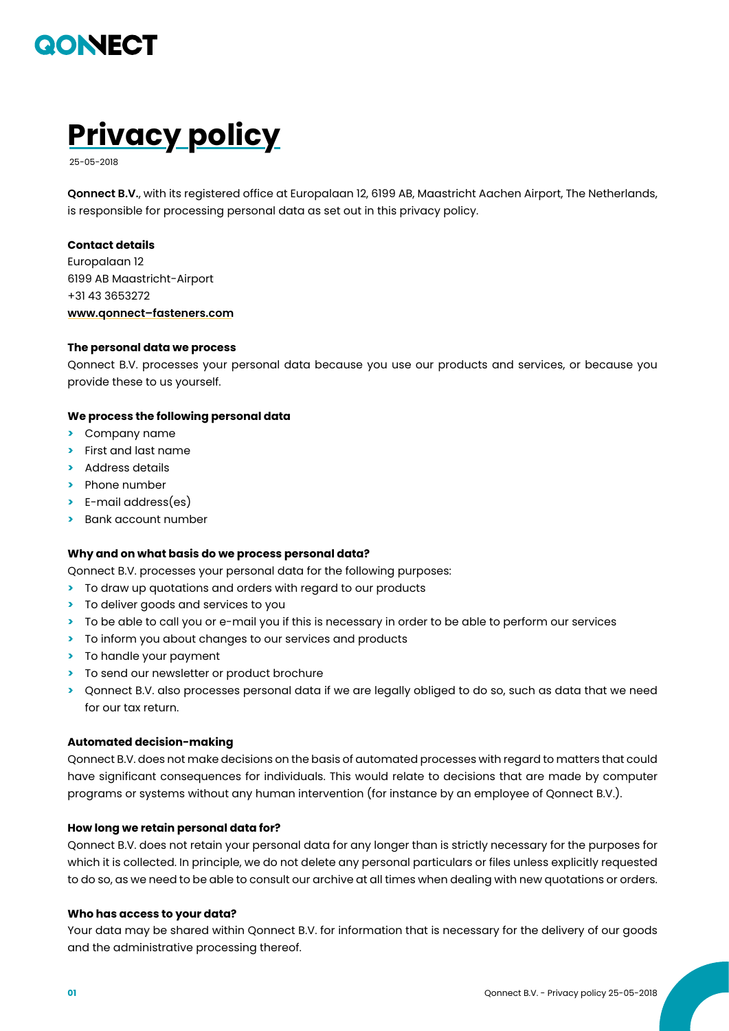



**Qonnect B.V.**, with its registered office at Europalaan 12, 6199 AB, Maastricht Aachen Airport, The Netherlands, is responsible for processing personal data as set out in this privacy policy.

## **Contact details**

Europalaan 12 6199 AB Maastricht-Airport +31 43 3653272 **[www.qonnect–fasteners.com](http://www.qonnect-fasteners.com)**

## **The personal data we process**

Qonnect B.V. processes your personal data because you use our products and services, or because you provide these to us yourself.

## **We process the following personal data**

- **>** Company name
- **>** First and last name
- **>** Address details
- **>** Phone number
- **>** E-mail address(es)
- **>** Bank account number

### **Why and on what basis do we process personal data?**

Qonnect B.V. processes your personal data for the following purposes:

- **>** To draw up quotations and orders with regard to our products
- **>** To deliver goods and services to you
- **>** To be able to call you or e-mail you if this is necessary in order to be able to perform our services
- **>** To inform you about changes to our services and products
- **>** To handle your payment
- **>** To send our newsletter or product brochure
- **>** Qonnect B.V. also processes personal data if we are legally obliged to do so, such as data that we need for our tax return.

## **Automated decision-making**

Qonnect B.V. does not make decisions on the basis of automated processes with regard to matters that could have significant consequences for individuals. This would relate to decisions that are made by computer programs or systems without any human intervention (for instance by an employee of Qonnect B.V.).

## **How long we retain personal data for?**

Qonnect B.V. does not retain your personal data for any longer than is strictly necessary for the purposes for which it is collected. In principle, we do not delete any personal particulars or files unless explicitly requested to do so, as we need to be able to consult our archive at all times when dealing with new quotations or orders.

### **Who has access to your data?**

Your data may be shared within Qonnect B.V. for information that is necessary for the delivery of our goods and the administrative processing thereof.